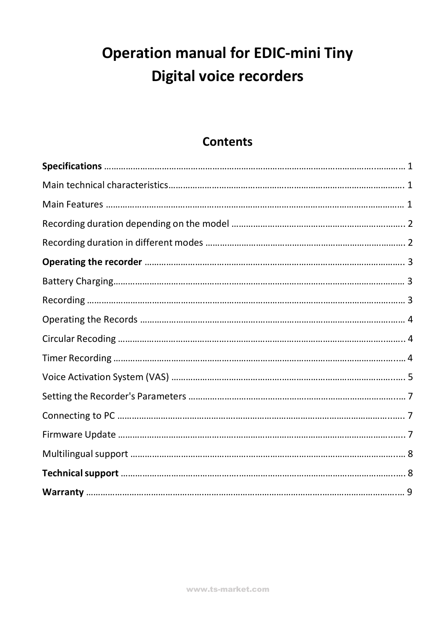# **Operation manual for EDIC-mini Tiny Digital voice recorders**

## **Contents**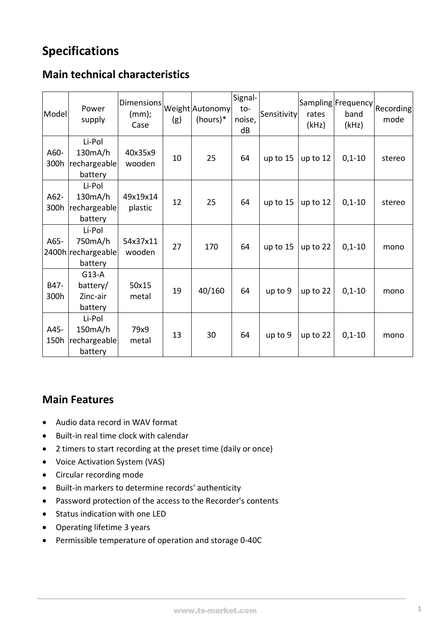## **Specifications**

### **Main technical characteristics**

| Model        | Power<br>supply                                    | <b>Dimensions</b><br>$(mm)$ ;<br>Case | (g) | Weight Autonomy<br>$(hours)*$ | Signal-<br>to-<br>noise,<br>dB | Sensitivity | rates<br>(kHz) | Sampling Frequency <br>Recording <br>band<br>(kHz) | mode   |
|--------------|----------------------------------------------------|---------------------------------------|-----|-------------------------------|--------------------------------|-------------|----------------|----------------------------------------------------|--------|
| A60-<br>300h | Li-Pol<br>130mA/h<br>rechargeable<br>battery       | 40x35x9<br>wooden                     | 10  | 25                            | 64                             | up to $15$  | up to 12       | $0,1-10$                                           | stereo |
| A62-<br>300h | Li-Pol<br>130mA/h<br>rechargeable<br>battery       | 49x19x14<br>plastic                   | 12  | 25                            | 64                             | up to 15    | up to 12       | $0,1-10$                                           | stereo |
| A65-         | Li-Pol<br>750mA/h<br>2400h rechargeable<br>battery | 54x37x11<br>wooden                    | 27  | 170                           | 64                             | up to 15    | up to 22       | $0,1-10$                                           | mono   |
| B47-<br>300h | $G13-A$<br>battery/<br>Zinc-air<br>battery         | 50x15<br>metal                        | 19  | 40/160                        | 64                             | up to 9     | up to 22       | $0,1-10$                                           | mono   |
| A45-<br>150h | Li-Pol<br>150mA/h<br>rechargeable<br>battery       | 79x9<br>metal                         | 13  | 30                            | 64                             | up to 9     | up to 22       | $0,1-10$                                           | mono   |

#### **Main Features**

- Audio data record in WAV format
- Built-in real time clock with calendar
- 2 timers to start recording at the preset time (daily or once)
- Voice Activation System (VAS)
- Circular recording mode
- Built-in markers to determine records' authenticity
- Password protection of the access to the Recorder's contents
- Status indication with one LED
- Operating lifetime 3 years
- Permissible temperature of operation and storage 0-40C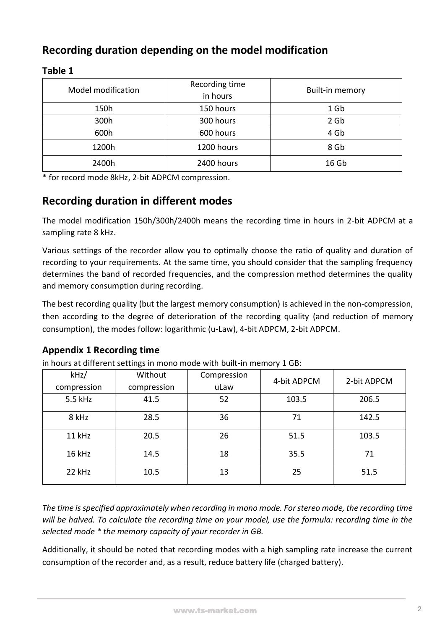## **Recording duration depending on the model modification**

| Model modification | Recording time<br>in hours | Built-in memory  |  |  |
|--------------------|----------------------------|------------------|--|--|
| 150h               | 150 hours                  | 1 Gb             |  |  |
| 300h               | 300 hours                  | 2 <sub>6b</sub>  |  |  |
| 600h               | 600 hours                  | 4 Gb             |  |  |
| 1200h              | 1200 hours                 | 8 Gb             |  |  |
| 2400h              | 2400 hours                 | 16 <sub>Gb</sub> |  |  |

#### **Table 1**

\* for record mode 8kHz, 2-bit ADPCM compression.

#### **Recording duration in different modes**

The model modification 150h/300h/2400h means the recording time in hours in 2-bit ADPCM at a sampling rate 8 kHz.

Various settings of the recorder allow you to optimally choose the ratio of quality and duration of recording to your requirements. At the same time, you should consider that the sampling frequency determines the band of recorded frequencies, and the compression method determines the quality and memory consumption during recording.

The best recording quality (but the largest memory consumption) is achieved in the non-compression, then according to the degree of deterioration of the recording quality (and reduction of memory consumption), the modes follow: logarithmic (u-Law), 4-bit ADPCM, 2-bit ADPCM.

#### **Appendix 1 Recording time**

in hours at different settings in mono mode with built-in memory 1 GB:

| kHz/        | Without     | Compression | 4-bit ADPCM | 2-bit ADPCM |  |
|-------------|-------------|-------------|-------------|-------------|--|
| compression | compression | uLaw        |             |             |  |
| 5.5 kHz     | 41.5        | 52          | 103.5       | 206.5       |  |
| 8 kHz       | 28.5        | 36          | 71          | 142.5       |  |
| 11 kHz      | 20.5        | 26          | 51.5        | 103.5       |  |
| 16 kHz      | 14.5        | 18          | 35.5        | 71          |  |
| 22 kHz      | 10.5        | 13          | 25          | 51.5        |  |

*The time is specified approximately when recording in mono mode. For stereo mode, the recording time will be halved. To calculate the recording time on your model, use the formula: recording time in the selected mode \* the memory capacity of your recorder in GB.*

Additionally, it should be noted that recording modes with a high sampling rate increase the current consumption of the recorder and, as a result, reduce battery life (charged battery).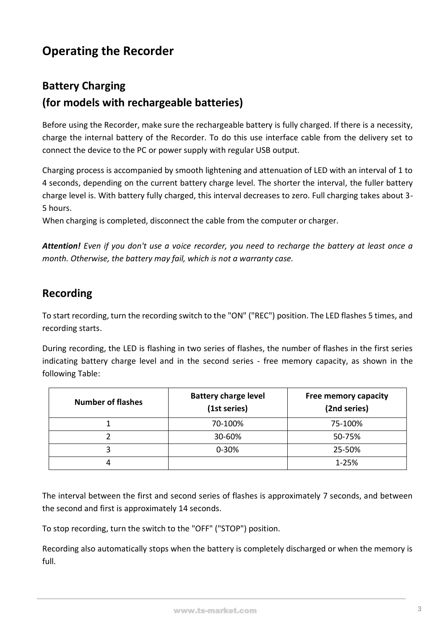## **Operating the Recorder**

## **Battery Charging (for models with rechargeable batteries)**

Before using the Recorder, make sure the rechargeable battery is fully charged. If there is a necessity, charge the internal battery of the Recorder. To do this use interface cable from the delivery set to connect the device to the PC or power supply with regular USB output.

Charging process is accompanied by smooth lightening and attenuation of LED with an interval of 1 to 4 seconds, depending on the current battery charge level. The shorter the interval, the fuller battery charge level is. With battery fully charged, this interval decreases to zero. Full charging takes about 3- 5 hours.

When charging is completed, disconnect the cable from the computer or charger.

*Attention! Even if you don't use a voice recorder, you need to recharge the battery at least once a month. Otherwise, the battery may fail, which is not a warranty case.*

#### **Recording**

To start recording, turn the recording switch to the "ON" ("REC") position. The LED flashes 5 times, and recording starts.

During recording, the LED is flashing in two series of flashes, the number of flashes in the first series indicating battery charge level and in the second series - free memory capacity, as shown in the following Table:

| <b>Number of flashes</b> | <b>Battery charge level</b><br>(1st series) | <b>Free memory capacity</b><br>(2nd series) |
|--------------------------|---------------------------------------------|---------------------------------------------|
|                          | 70-100%                                     | 75-100%                                     |
|                          | 30-60%                                      | 50-75%                                      |
|                          | $0 - 30%$                                   | 25-50%                                      |
|                          |                                             | 1-25%                                       |

The interval between the first and second series of flashes is approximately 7 seconds, and between the second and first is approximately 14 seconds.

To stop recording, turn the switch to the "OFF" ("STOP") position.

Recording also automatically stops when the battery is completely discharged or when the memory is full.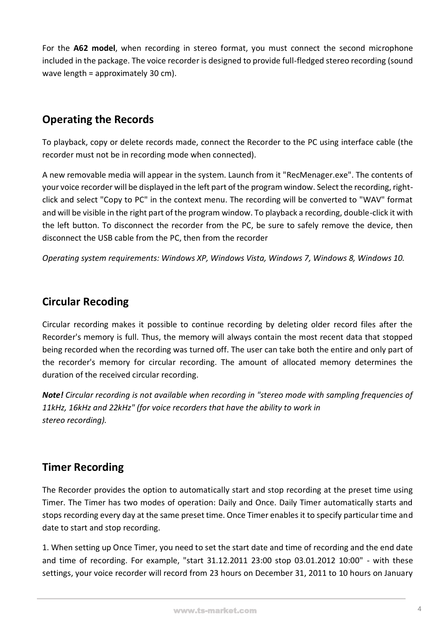For the **A62 model**, when recording in stereo format, you must connect the second microphone included in the package. The voice recorder is designed to provide full-fledged stereo recording (sound wave length = approximately 30 cm).

#### **Operating the Records**

To playback, copy or delete records made, connect the Recorder to the PC using interface cable (the recorder must not be in recording mode when connected).

A new removable media will appear in the system. Launch from it "RecMenager.exe". The contents of your voice recorder will be displayed in the left part of the program window. Select the recording, rightclick and select "Copy to PC" in the context menu. The recording will be converted to "WAV" format and will be visible in the right part of the program window. To playback a recording, double-click it with the left button. To disconnect the recorder from the PC, be sure to safely remove the device, then disconnect the USB cable from the PC, then from the recorder

*Operating system requirements: Windows XP, Windows Vista, Windows 7, Windows 8, Windows 10.*

### **Circular Recoding**

Circular recording makes it possible to continue recording by deleting older record files after the Recorder's memory is full. Thus, the memory will always contain the most recent data that stopped being recorded when the recording was turned off. The user can take both the entire and only part of the recorder's memory for circular recording. The amount of allocated memory determines the duration of the received circular recording.

*Note! Circular recording is not available when recording in "stereo mode with sampling frequencies of 11kHz, 16kHz and 22kHz" (for voice recorders that have the ability to work in stereo recording).*

#### **Timer Recording**

The Recorder provides the option to automatically start and stop recording at the preset time using Timer. The Timer has two modes of operation: Daily and Once. Daily Timer automatically starts and stops recording every day at the same preset time. Once Timer enables it to specify particular time and date to start and stop recording.

1. When setting up Once Timer, you need to set the start date and time of recording and the end date and time of recording. For example, "start 31.12.2011 23:00 stop 03.01.2012 10:00" - with these settings, your voice recorder will record from 23 hours on December 31, 2011 to 10 hours on January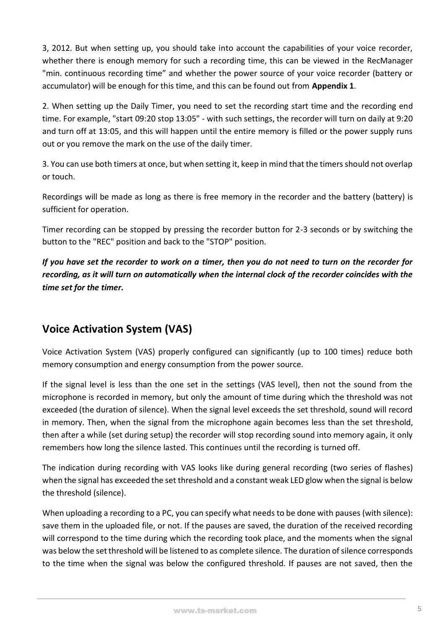3, 2012. But when setting up, you should take into account the capabilities of your voice recorder, whether there is enough memory for such a recording time, this can be viewed in the RecManager "min. continuous recording time" and whether the power source of your voice recorder (battery or accumulator) will be enough for this time, and this can be found out from **Appendix 1**.

2. When setting up the Daily Timer, you need to set the recording start time and the recording end time. For example, "start 09:20 stop 13:05" - with such settings, the recorder will turn on daily at 9:20 and turn off at 13:05, and this will happen until the entire memory is filled or the power supply runs out or you remove the mark on the use of the daily timer.

3. You can use both timers at once, but when setting it, keep in mind that the timers should not overlap or touch.

Recordings will be made as long as there is free memory in the recorder and the battery (battery) is sufficient for operation.

Timer recording can be stopped by pressing the recorder button for 2-3 seconds or by switching the button to the "REC" position and back to the "STOP" position.

*If you have set the recorder to work on a timer, then you do not need to turn on the recorder for recording, as it will turn on automatically when the internal clock of the recorder coincides with the time set for the timer.*

## **Voice Activation System (VAS)**

Voice Activation System (VAS) properly configured can significantly (up to 100 times) reduce both memory consumption and energy consumption from the power source.

If the signal level is less than the one set in the settings (VAS level), then not the sound from the microphone is recorded in memory, but only the amount of time during which the threshold was not exceeded (the duration of silence). When the signal level exceeds the set threshold, sound will record in memory. Then, when the signal from the microphone again becomes less than the set threshold, then after a while (set during setup) the recorder will stop recording sound into memory again, it only remembers how long the silence lasted. This continues until the recording is turned off.

The indication during recording with VAS looks like during general recording (two series of flashes) when the signal has exceeded the set threshold and a constant weak LED glow when the signal is below the threshold (silence).

When uploading a recording to a PC, you can specify what needs to be done with pauses (with silence): save them in the uploaded file, or not. If the pauses are saved, the duration of the received recording will correspond to the time during which the recording took place, and the moments when the signal was below the set threshold will be listened to as complete silence. The duration of silence corresponds to the time when the signal was below the configured threshold. If pauses are not saved, then the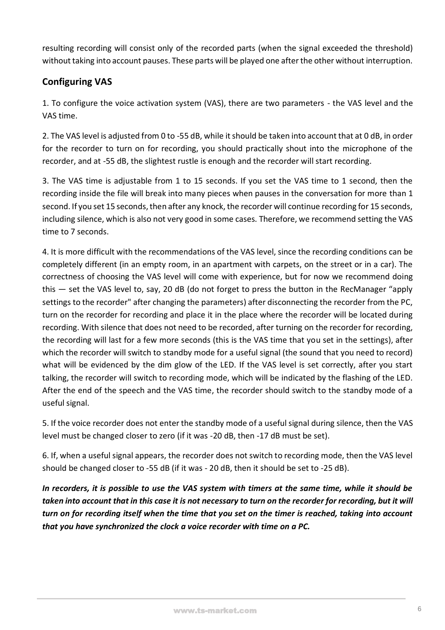resulting recording will consist only of the recorded parts (when the signal exceeded the threshold) without taking into account pauses. These parts will be played one after the other without interruption.

#### **Configuring VAS**

1. To configure the voice activation system (VAS), there are two parameters - the VAS level and the VAS time.

2. The VAS level is adjusted from 0 to -55 dB, while it should be taken into account that at 0 dB, in order for the recorder to turn on for recording, you should practically shout into the microphone of the recorder, and at -55 dB, the slightest rustle is enough and the recorder will start recording.

3. The VAS time is adjustable from 1 to 15 seconds. If you set the VAS time to 1 second, then the recording inside the file will break into many pieces when pauses in the conversation for more than 1 second. If you set 15 seconds, then after any knock, the recorder will continue recording for 15 seconds, including silence, which is also not very good in some cases. Therefore, we recommend setting the VAS time to 7 seconds.

4. It is more difficult with the recommendations of the VAS level, since the recording conditions can be completely different (in an empty room, in an apartment with carpets, on the street or in a car). The correctness of choosing the VAS level will come with experience, but for now we recommend doing this — set the VAS level to, say, 20 dB (do not forget to press the button in the RecManager "apply settings to the recorder" after changing the parameters) after disconnecting the recorder from the PC, turn on the recorder for recording and place it in the place where the recorder will be located during recording. With silence that does not need to be recorded, after turning on the recorder for recording, the recording will last for a few more seconds (this is the VAS time that you set in the settings), after which the recorder will switch to standby mode for a useful signal (the sound that you need to record) what will be evidenced by the dim glow of the LED. If the VAS level is set correctly, after you start talking, the recorder will switch to recording mode, which will be indicated by the flashing of the LED. After the end of the speech and the VAS time, the recorder should switch to the standby mode of a useful signal.

5. If the voice recorder does not enter the standby mode of a useful signal during silence, then the VAS level must be changed closer to zero (if it was -20 dB, then -17 dB must be set).

6. If, when a useful signal appears, the recorder does not switch to recording mode, then the VAS level should be changed closer to -55 dB (if it was - 20 dB, then it should be set to -25 dB).

*In recorders, it is possible to use the VAS system with timers at the same time, while it should be taken into account that in this case it is not necessary to turn on the recorder for recording, but it will turn on for recording itself when the time that you set on the timer is reached, taking into account that you have synchronized the clock a voice recorder with time on a PC.*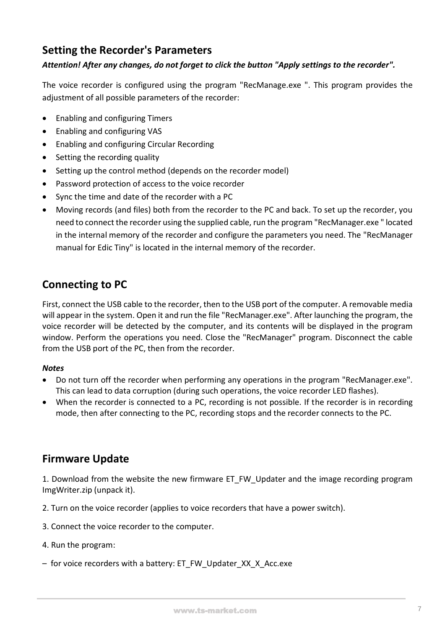#### **Setting the Recorder's Parameters**

#### *Attention! After any changes, do not forget to click the button "Apply settings to the recorder".*

The voice recorder is configured using the program "RecManage.exe ". This program provides the adjustment of all possible parameters of the recorder:

- Enabling and configuring Timers
- Enabling and configuring VAS
- Enabling and configuring Circular Recording
- Setting the recording quality
- Setting up the control method (depends on the recorder model)
- Password protection of access to the voice recorder
- Sync the time and date of the recorder with a PC
- Moving records (and files) both from the recorder to the PC and back. To set up the recorder, you need to connect the recorder using the supplied cable, run the program "RecManager.exe " located in the internal memory of the recorder and configure the parameters you need. The "RecManager manual for Edic Tiny" is located in the internal memory of the recorder.

### **Connecting to PC**

First, connect the USB cable to the recorder, then to the USB port of the computer. A removable media will appear in the system. Open it and run the file "RecManager.exe". After launching the program, the voice recorder will be detected by the computer, and its contents will be displayed in the program window. Perform the operations you need. Close the "RecManager" program. Disconnect the cable from the USB port of the PC, then from the recorder.

#### *Notes*

- Do not turn off the recorder when performing any operations in the program "RecManager.exe". This can lead to data corruption (during such operations, the voice recorder LED flashes).
- When the recorder is connected to a PC, recording is not possible. If the recorder is in recording mode, then after connecting to the PC, recording stops and the recorder connects to the PC.

#### **Firmware Update**

1. Download from the website the new firmware ET\_FW\_Updater and the image recording program ImgWriter.zip (unpack it).

2. Turn on the voice recorder (applies to voice recorders that have a power switch).

- 3. Connect the voice recorder to the computer.
- 4. Run the program:
- for voice recorders with a battery: ET\_FW\_Updater\_XX\_X\_Acc.exe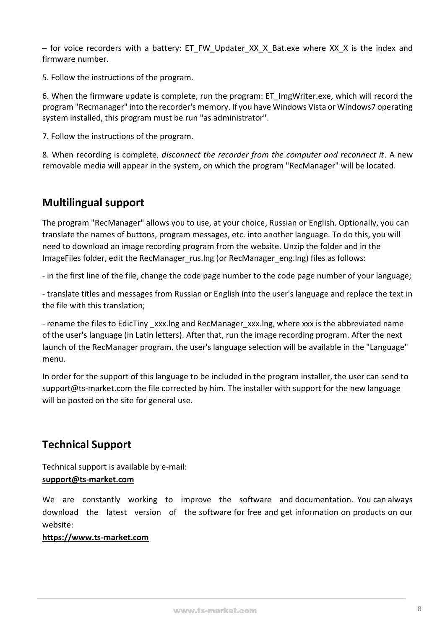– for voice recorders with a battery: ET\_FW\_Updater\_XX\_X\_Bat.exe where XX\_X is the index and firmware number.

5. Follow the instructions of the program.

6. When the firmware update is complete, run the program: ET\_ImgWriter.exe, which will record the program "Recmanager" into the recorder's memory. If you have Windows Vista or Windows7 operating system installed, this program must be run "as administrator".

7. Follow the instructions of the program.

8. When recording is complete, *disconnect the recorder from the computer and reconnect it*. A new removable media will appear in the system, on which the program "RecManager" will be located.

#### **Multilingual support**

The program "RecManager" allows you to use, at your choice, Russian or English. Optionally, you can translate the names of buttons, program messages, etc. into another language. To do this, you will need to download an image recording program from the website. Unzip the folder and in the ImageFiles folder, edit the RecManager rus.lng (or RecManager eng.lng) files as follows:

- in the first line of the file, change the code page number to the code page number of your language;

- translate titles and messages from Russian or English into the user's language and replace the text in the file with this translation;

- rename the files to EdicTiny xxx.lng and RecManager xxx.lng, where xxx is the abbreviated name of the user's language (in Latin letters). After that, run the image recording program. After the next launch of the RecManager program, the user's language selection will be available in the "Language" menu.

In order for the support of this language to be included in the program installer, the user can send to support@ts-market.com the file corrected by him. The installer with support for the new language will be posted on the site for general use.

#### **Technical Support**

Technical support is available by e-mail:

#### **support@ts-market.com**

We are constantly working to improve the software and documentation. You can always download the latest version of the software for free and get information on products on our website:

#### **https://www.ts-market.com**